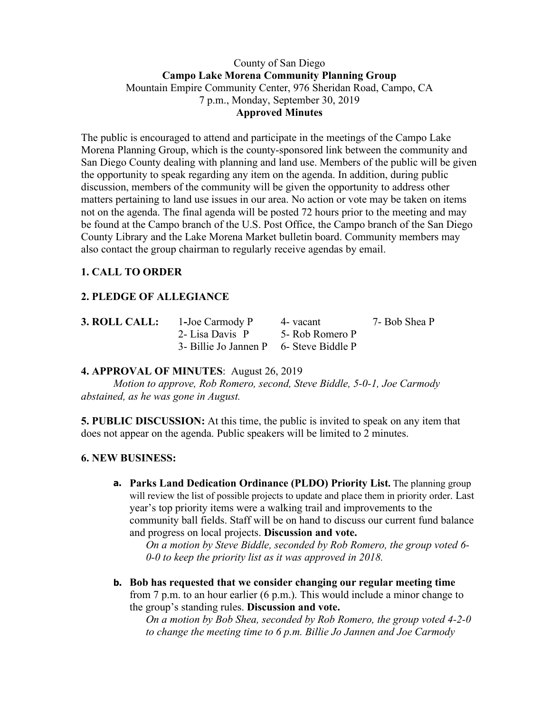#### County of San Diego **Campo Lake Morena Community Planning Group** Mountain Empire Community Center, 976 Sheridan Road, Campo, CA 7 p.m., Monday, September 30, 2019 **Approved Minutes**

The public is encouraged to attend and participate in the meetings of the Campo Lake Morena Planning Group, which is the county-sponsored link between the community and San Diego County dealing with planning and land use. Members of the public will be given the opportunity to speak regarding any item on the agenda. In addition, during public discussion, members of the community will be given the opportunity to address other matters pertaining to land use issues in our area. No action or vote may be taken on items not on the agenda. The final agenda will be posted 72 hours prior to the meeting and may be found at the Campo branch of the U.S. Post Office, the Campo branch of the San Diego County Library and the Lake Morena Market bulletin board. Community members may also contact the group chairman to regularly receive agendas by email.

# **1. CALL TO ORDER**

# **2. PLEDGE OF ALLEGIANCE**

| 3. ROLL CALL: | 1-Joe Carmody P                         | 4 - vacant      | 7- Bob Shea P |
|---------------|-----------------------------------------|-----------------|---------------|
|               | 2- Lisa Davis P                         | 5- Rob Romero P |               |
|               | 3- Billie Jo Jannen P 6- Steve Biddle P |                 |               |

### **4. APPROVAL OF MINUTES**: August 26, 2019

*Motion to approve, Rob Romero, second, Steve Biddle, 5-0-1, Joe Carmody abstained, as he was gone in August.*

**5. PUBLIC DISCUSSION:** At this time, the public is invited to speak on any item that does not appear on the agenda. Public speakers will be limited to 2 minutes.

### **6. NEW BUSINESS:**

**a. Parks Land Dedication Ordinance (PLDO) Priority List.** The planning group will review the list of possible projects to update and place them in priority order. Last year's top priority items were a walking trail and improvements to the community ball fields. Staff will be on hand to discuss our current fund balance and progress on local projects. **Discussion and vote.**

*On a motion by Steve Biddle, seconded by Rob Romero, the group voted 6- 0-0 to keep the priority list as it was approved in 2018.*

**b. Bob has requested that we consider changing our regular meeting time** from 7 p.m. to an hour earlier (6 p.m.). This would include a minor change to the group's standing rules. **Discussion and vote.**

*On a motion by Bob Shea, seconded by Rob Romero, the group voted 4-2-0 to change the meeting time to 6 p.m. Billie Jo Jannen and Joe Carmody*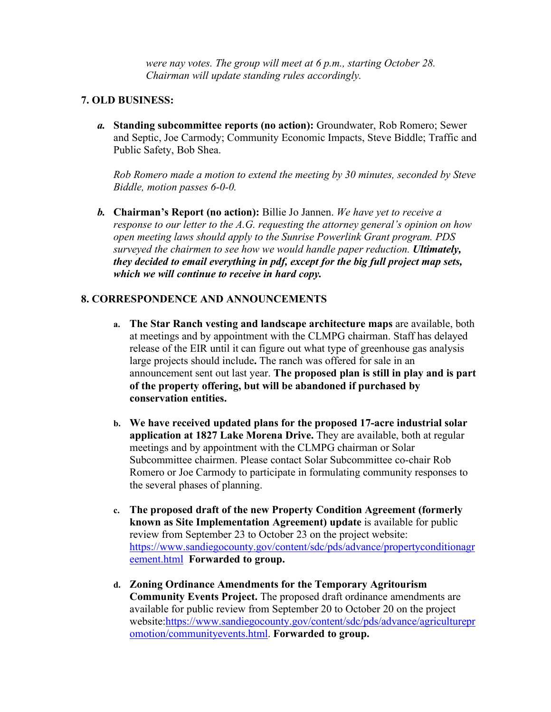*were nay votes. The group will meet at 6 p.m., starting October 28. Chairman will update standing rules accordingly.*

#### **7. OLD BUSINESS:**

*a.* **Standing subcommittee reports (no action):** Groundwater, Rob Romero; Sewer and Septic, Joe Carmody; Community Economic Impacts, Steve Biddle; Traffic and Public Safety, Bob Shea.

*Rob Romero made a motion to extend the meeting by 30 minutes, seconded by Steve Biddle, motion passes 6-0-0.*

*b.* **Chairman's Report (no action):** Billie Jo Jannen. *We have yet to receive a response to our letter to the A.G. requesting the attorney general's opinion on how open meeting laws should apply to the Sunrise Powerlink Grant program. PDS surveyed the chairmen to see how we would handle paper reduction. Ultimately, they decided to email everything in pdf, except for the big full project map sets, which we will continue to receive in hard copy.*

### **8. CORRESPONDENCE AND ANNOUNCEMENTS**

- **a. The Star Ranch vesting and landscape architecture maps** are available, both at meetings and by appointment with the CLMPG chairman. Staff has delayed release of the EIR until it can figure out what type of greenhouse gas analysis large projects should include**.** The ranch was offered for sale in an announcement sent out last year. **The proposed plan is still in play and is part of the property offering, but will be abandoned if purchased by conservation entities.**
- **b. We have received updated plans for the proposed 17-acre industrial solar application at 1827 Lake Morena Drive.** They are available, both at regular meetings and by appointment with the CLMPG chairman or Solar Subcommittee chairmen. Please contact Solar Subcommittee co-chair Rob Romero or Joe Carmody to participate in formulating community responses to the several phases of planning.
- **c. The proposed draft of the new Property Condition Agreement (formerly known as Site Implementation Agreement) update** is available for public review from September 23 to October 23 on the project website: https://www.sandiegocounty.gov/content/sdc/pds/advance/propertyconditionagr eement.html **Forwarded to group.**
- **d. Zoning Ordinance Amendments for the Temporary Agritourism Community Events Project.** The proposed draft ordinance amendments are available for public review from September 20 to October 20 on the project website:https://www.sandiegocounty.gov/content/sdc/pds/advance/agriculturepr omotion/communityevents.html. **Forwarded to group.**